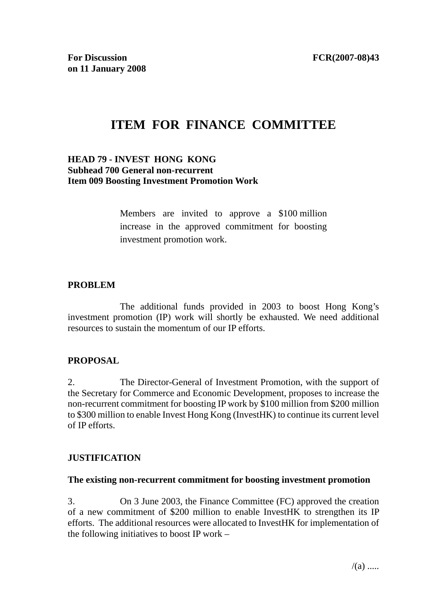# **ITEM FOR FINANCE COMMITTEE**

## **HEAD 79 - INVEST HONG KONG Subhead 700 General non-recurrent Item 009 Boosting Investment Promotion Work**

Members are invited to approve a \$100 million increase in the approved commitment for boosting investment promotion work.

## **PROBLEM**

 The additional funds provided in 2003 to boost Hong Kong's investment promotion (IP) work will shortly be exhausted. We need additional resources to sustain the momentum of our IP efforts.

#### **PROPOSAL**

2. The Director-General of Investment Promotion, with the support of the Secretary for Commerce and Economic Development, proposes to increase the non-recurrent commitment for boosting IP work by \$100 million from \$200 million to \$300 million to enable Invest Hong Kong (InvestHK) to continue its current level of IP efforts.

#### **JUSTIFICATION**

#### **The existing non-recurrent commitment for boosting investment promotion**

3. On 3 June 2003, the Finance Committee (FC) approved the creation of a new commitment of \$200 million to enable InvestHK to strengthen its IP efforts. The additional resources were allocated to InvestHK for implementation of the following initiatives to boost IP work –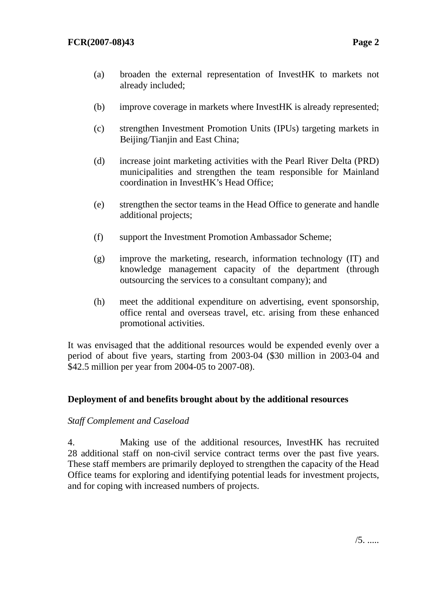- (a) broaden the external representation of InvestHK to markets not already included;
- (b) improve coverage in markets where InvestHK is already represented;
- (c) strengthen Investment Promotion Units (IPUs) targeting markets in Beijing/Tianjin and East China;
- (d) increase joint marketing activities with the Pearl River Delta (PRD) municipalities and strengthen the team responsible for Mainland coordination in InvestHK's Head Office;
- (e) strengthen the sector teams in the Head Office to generate and handle additional projects;
- (f) support the Investment Promotion Ambassador Scheme;
- (g) improve the marketing, research, information technology (IT) and knowledge management capacity of the department (through outsourcing the services to a consultant company); and
- (h) meet the additional expenditure on advertising, event sponsorship, office rental and overseas travel, etc. arising from these enhanced promotional activities.

It was envisaged that the additional resources would be expended evenly over a period of about five years, starting from 2003-04 (\$30 million in 2003-04 and \$42.5 million per year from 2004-05 to 2007-08).

# **Deployment of and benefits brought about by the additional resources**

#### *Staff Complement and Caseload*

4. Making use of the additional resources, InvestHK has recruited 28 additional staff on non-civil service contract terms over the past five years. These staff members are primarily deployed to strengthen the capacity of the Head Office teams for exploring and identifying potential leads for investment projects, and for coping with increased numbers of projects.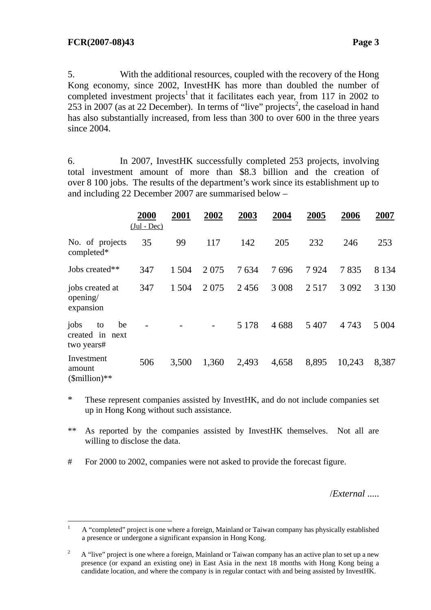5. With the additional resources, coupled with the recovery of the Hong Kong economy, since 2002, InvestHK has more than doubled the number of completed investment projects<sup>1</sup> that it facilitates each year, from 117 in 2002 to  $253$  in 2007 (as at 22 December). In terms of "live" projects<sup>2</sup>, the caseload in hand has also substantially increased, from less than 300 to over 600 in the three years since 2004.

6. In 2007, InvestHK successfully completed 253 projects, involving total investment amount of more than \$8.3 billion and the creation of over 8 100 jobs. The results of the department's work since its establishment up to and including 22 December 2007 are summarised below –

|                                                         | 2000<br>$(Jul - Dec)$ | 2001  | 2002  | 2003    | 2004    | 2005    | 2006    | 2007    |
|---------------------------------------------------------|-----------------------|-------|-------|---------|---------|---------|---------|---------|
| No. of projects<br>completed*                           | 35                    | 99    | 117   | 142     | 205     | 232     | 246     | 253     |
| Jobs created**                                          | 347                   | 1 504 | 2075  | 7634    | 7696    | 7924    | 7835    | 8 1 3 4 |
| jobs created at<br>opening/<br>expansion                | 347                   | 1 504 | 2075  | 2456    | 3 0 0 8 | 2 5 1 7 | 3 0 9 2 | 3 1 3 0 |
| jobs<br>be<br>to<br>created<br>in<br>next<br>two years# |                       |       |       | 5 1 7 8 | 4688    | 5 4 0 7 | 4 7 4 3 | 5 0 0 4 |
| Investment<br>amount<br>$$million)**$                   | 506                   | 3,500 | 1,360 | 2,493   | 4,658   | 8,895   | 10,243  | 8,387   |

\* These represent companies assisted by InvestHK, and do not include companies set up in Hong Kong without such assistance.

\*\* As reported by the companies assisted by InvestHK themselves. Not all are willing to disclose the data.

# For 2000 to 2002, companies were not asked to provide the forecast figure.

/*External* .....

 $\frac{1}{1}$  A "completed" project is one where a foreign, Mainland or Taiwan company has physically established a presence or undergone a significant expansion in Hong Kong.

<sup>2</sup> A "live" project is one where a foreign, Mainland or Taiwan company has an active plan to set up a new presence (or expand an existing one) in East Asia in the next 18 months with Hong Kong being a candidate location, and where the company is in regular contact with and being assisted by InvestHK.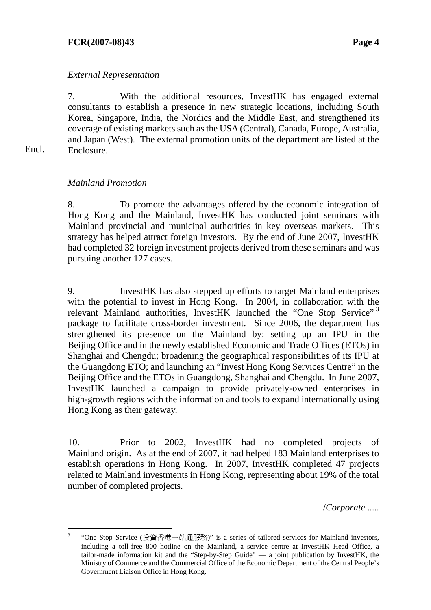#### **FCR(2007-08)43 Page 4**

#### *External Representation*

7. With the additional resources, InvestHK has engaged external consultants to establish a presence in new strategic locations, including South Korea, Singapore, India, the Nordics and the Middle East, and strengthened its coverage of existing markets such as the USA (Central), Canada, Europe, Australia, and Japan (West). The external promotion units of the department are listed at the Enclosure.

Encl.

#### *Mainland Promotion*

8. To promote the advantages offered by the economic integration of Hong Kong and the Mainland, InvestHK has conducted joint seminars with Mainland provincial and municipal authorities in key overseas markets. This strategy has helped attract foreign investors. By the end of June 2007, InvestHK had completed 32 foreign investment projects derived from these seminars and was pursuing another 127 cases.

9. InvestHK has also stepped up efforts to target Mainland enterprises with the potential to invest in Hong Kong. In 2004, in collaboration with the relevant Mainland authorities, InvestHK launched the "One Stop Service"<sup>3</sup> package to facilitate cross-border investment. Since 2006, the department has strengthened its presence on the Mainland by: setting up an IPU in the Beijing Office and in the newly established Economic and Trade Offices (ETOs) in Shanghai and Chengdu; broadening the geographical responsibilities of its IPU at the Guangdong ETO; and launching an "Invest Hong Kong Services Centre" in the Beijing Office and the ETOs in Guangdong, Shanghai and Chengdu. In June 2007, InvestHK launched a campaign to provide privately-owned enterprises in high-growth regions with the information and tools to expand internationally using Hong Kong as their gateway.

10. Prior to 2002, InvestHK had no completed projects of Mainland origin. As at the end of 2007, it had helped 183 Mainland enterprises to establish operations in Hong Kong. In 2007, InvestHK completed 47 projects related to Mainland investments in Hong Kong, representing about 19% of the total number of completed projects.

/*Corporate* .....

 $\frac{1}{3}$  "One Stop Service (投資香港一站通服務)" is a series of tailored services for Mainland investors, including a toll-free 800 hotline on the Mainland, a service centre at InvestHK Head Office, a tailor-made information kit and the "Step-by-Step Guide" — a joint publication by InvestHK, the Ministry of Commerce and the Commercial Office of the Economic Department of the Central People's Government Liaison Office in Hong Kong.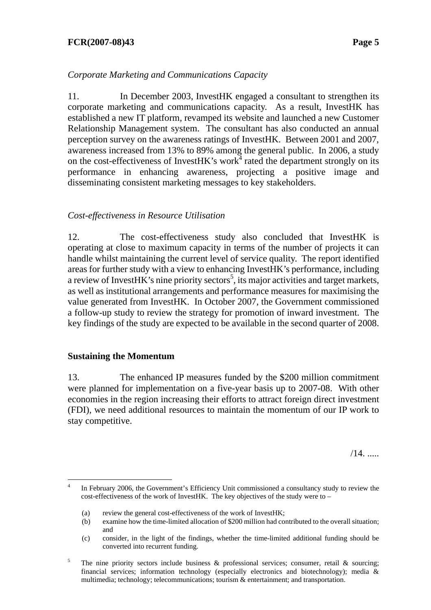#### **FCR(2007-08)43 Page 5**

## *Corporate Marketing and Communications Capacity*

11. In December 2003, InvestHK engaged a consultant to strengthen its corporate marketing and communications capacity. As a result, InvestHK has established a new IT platform, revamped its website and launched a new Customer Relationship Management system. The consultant has also conducted an annual perception survey on the awareness ratings of InvestHK. Between 2001 and 2007, awareness increased from 13% to 89% among the general public. In 2006, a study on the cost-effectiveness of InvestHK's work $4$  rated the department strongly on its performance in enhancing awareness, projecting a positive image and disseminating consistent marketing messages to key stakeholders.

#### *Cost-effectiveness in Resource Utilisation*

12. The cost-effectiveness study also concluded that InvestHK is operating at close to maximum capacity in terms of the number of projects it can handle whilst maintaining the current level of service quality. The report identified areas for further study with a view to enhancing InvestHK's performance, including a review of InvestHK's nine priority sectors<sup>5</sup>, its major activities and target markets, as well as institutional arrangements and performance measures for maximising the value generated from InvestHK. In October 2007, the Government commissioned a follow-up study to review the strategy for promotion of inward investment. The key findings of the study are expected to be available in the second quarter of 2008.

#### **Sustaining the Momentum**

13. The enhanced IP measures funded by the \$200 million commitment were planned for implementation on a five-year basis up to 2007-08. With other economies in the region increasing their efforts to attract foreign direct investment (FDI), we need additional resources to maintain the momentum of our IP work to stay competitive.

/14. .....

l 4 In February 2006, the Government's Efficiency Unit commissioned a consultancy study to review the cost-effectiveness of the work of InvestHK. The key objectives of the study were to –

<sup>(</sup>a) review the general cost-effectiveness of the work of InvestHK;

<sup>(</sup>b) examine how the time-limited allocation of \$200 million had contributed to the overall situation; and

<sup>(</sup>c) consider, in the light of the findings, whether the time-limited additional funding should be converted into recurrent funding.

<sup>5</sup> The nine priority sectors include business  $\&$  professional services; consumer, retail  $\&$  sourcing; financial services; information technology (especially electronics and biotechnology); media & multimedia; technology; telecommunications; tourism & entertainment; and transportation.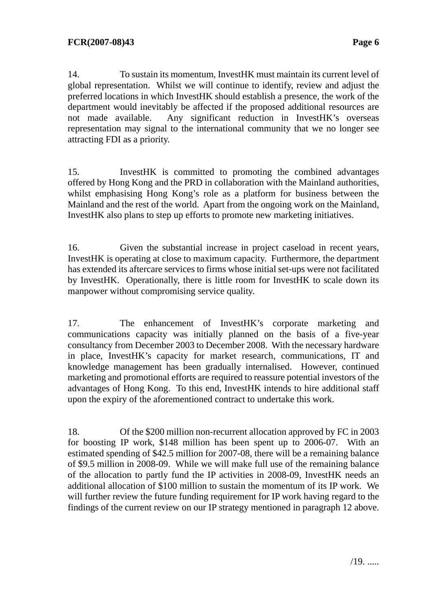14. To sustain its momentum, InvestHK must maintain its current level of global representation. Whilst we will continue to identify, review and adjust the preferred locations in which InvestHK should establish a presence, the work of the department would inevitably be affected if the proposed additional resources are not made available. Any significant reduction in InvestHK's overseas representation may signal to the international community that we no longer see attracting FDI as a priority.

15. InvestHK is committed to promoting the combined advantages offered by Hong Kong and the PRD in collaboration with the Mainland authorities, whilst emphasising Hong Kong's role as a platform for business between the Mainland and the rest of the world. Apart from the ongoing work on the Mainland, InvestHK also plans to step up efforts to promote new marketing initiatives.

16. Given the substantial increase in project caseload in recent years, InvestHK is operating at close to maximum capacity. Furthermore, the department has extended its aftercare services to firms whose initial set-ups were not facilitated by InvestHK. Operationally, there is little room for InvestHK to scale down its manpower without compromising service quality.

17. The enhancement of InvestHK's corporate marketing and communications capacity was initially planned on the basis of a five-year consultancy from December 2003 to December 2008. With the necessary hardware in place, InvestHK's capacity for market research, communications, IT and knowledge management has been gradually internalised. However, continued marketing and promotional efforts are required to reassure potential investors of the advantages of Hong Kong. To this end, InvestHK intends to hire additional staff upon the expiry of the aforementioned contract to undertake this work.

18. Of the \$200 million non-recurrent allocation approved by FC in 2003 for boosting IP work, \$148 million has been spent up to 2006-07. With an estimated spending of \$42.5 million for 2007-08, there will be a remaining balance of \$9.5 million in 2008-09. While we will make full use of the remaining balance of the allocation to partly fund the IP activities in 2008-09, InvestHK needs an additional allocation of \$100 million to sustain the momentum of its IP work. We will further review the future funding requirement for IP work having regard to the findings of the current review on our IP strategy mentioned in paragraph 12 above.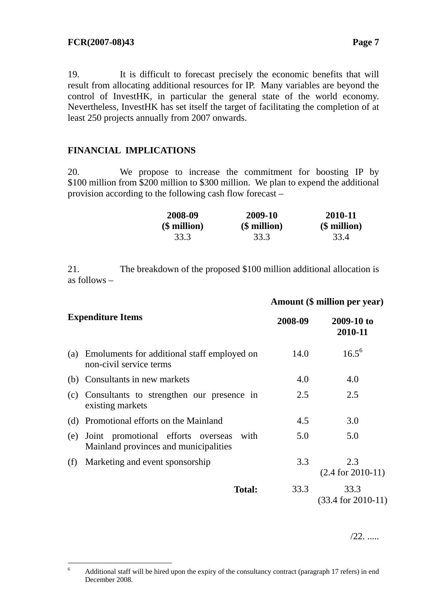19. It is difficult to forecast precisely the economic benefits that will result from allocating additional resources for IP. Many variables are beyond the control of InvestHK, in particular the general state of the world economy. Nevertheless, InvestHK has set itself the target of facilitating the completion of at least 250 projects annually from 2007 onwards.

# **FINANCIAL IMPLICATIONS**

20. We propose to increase the commitment for boosting IP by \$100 million from \$200 million to \$300 million. We plan to expend the additional provision according to the following cash flow forecast –

| 2008-09      | 2009-10      | 2010-11      |  |  |
|--------------|--------------|--------------|--|--|
| (\$ million) | (\$ million) | (\$ million) |  |  |
| 33.3         | 33.3         | 33.4         |  |  |

 **Amount (\$ million per year)** 

21. The breakdown of the proposed \$100 million additional allocation is as follows –

|     |                                                                                     | Анюши (р нишон рег усаг) |                                |  |  |
|-----|-------------------------------------------------------------------------------------|--------------------------|--------------------------------|--|--|
|     | <b>Expenditure Items</b>                                                            | 2008-09                  | 2009-10 to<br>2010-11          |  |  |
| (a) | Emoluments for additional staff employed on<br>non-civil service terms              | 14.0                     | $16.5^{6}$                     |  |  |
|     | (b) Consultants in new markets                                                      | 4.0                      | 4.0                            |  |  |
|     | (c) Consultants to strengthen our presence in<br>existing markets                   | 2.5                      | 2.5                            |  |  |
|     | (d) Promotional efforts on the Mainland                                             | 4.5                      | 3.0                            |  |  |
| (e) | Joint promotional efforts overseas<br>with<br>Mainland provinces and municipalities | 5.0                      | 5.0                            |  |  |
| (f) | Marketing and event sponsorship                                                     | 3.3                      | 2.3<br>$(2.4$ for $2010-11)$   |  |  |
|     | <b>Total:</b>                                                                       | 33.3                     | 33.3<br>$(33.4$ for $2010-11)$ |  |  |
|     |                                                                                     |                          |                                |  |  |

/22. .....

 6 Additional staff will be hired upon the expiry of the consultancy contract (paragraph 17 refers) in end December 2008.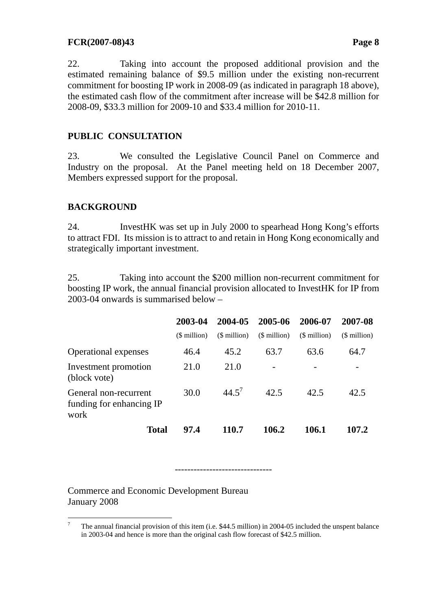#### **FCR(2007-08)43 Page 8**

22. Taking into account the proposed additional provision and the estimated remaining balance of \$9.5 million under the existing non-recurrent commitment for boosting IP work in 2008-09 (as indicated in paragraph 18 above), the estimated cash flow of the commitment after increase will be \$42.8 million for 2008-09, \$33.3 million for 2009-10 and \$33.4 million for 2010-11.

## **PUBLIC CONSULTATION**

23. We consulted the Legislative Council Panel on Commerce and Industry on the proposal. At the Panel meeting held on 18 December 2007, Members expressed support for the proposal.

# **BACKGROUND**

24. InvestHK was set up in July 2000 to spearhead Hong Kong's efforts to attract FDI. Its mission is to attract to and retain in Hong Kong economically and strategically important investment.

25. Taking into account the \$200 million non-recurrent commitment for boosting IP work, the annual financial provision allocated to InvestHK for IP from 2003-04 onwards is summarised below –

|                                                           | 2003-04      | 2004-05      | 2005-06      | 2006-07      | 2007-08      |
|-----------------------------------------------------------|--------------|--------------|--------------|--------------|--------------|
|                                                           | (\$ million) | (\$ million) | (\$ million) | (\$ million) | (\$ million) |
| <b>Operational expenses</b>                               | 46.4         | 45.2         | 63.7         | 63.6         | 64.7         |
| Investment promotion<br>(block vote)                      | 21.0         | 21.0         |              |              |              |
| General non-recurrent<br>funding for enhancing IP<br>work | 30.0         | 44.5'        | 42.5         | 42.5         | 42.5         |
| <b>Total</b>                                              | 97.4         | 110.7        | 106.2        | 106.1        | 107.2        |

-------------------------------

Commerce and Economic Development Bureau January 2008

 <sup>7</sup> The annual financial provision of this item (i.e. \$44.5 million) in 2004-05 included the unspent balance in 2003-04 and hence is more than the original cash flow forecast of \$42.5 million.